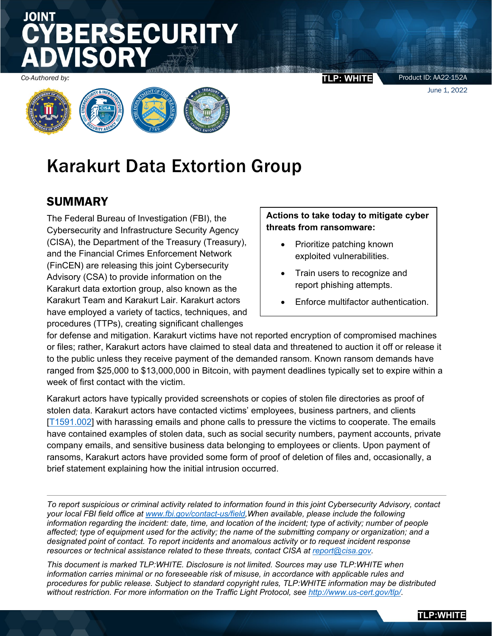# **SECURITY**

*Co-Authored by:* **TLP: WHITE**



## Karakurt Data Extortion Group

### SUMMARY

The Federal Bureau of Investigation (FBI), the Cybersecurity and Infrastructure Security Agency (CISA), the Department of the Treasury (Treasury), and the Financial Crimes Enforcement Network (FinCEN) are releasing this joint Cybersecurity Advisory (CSA) to provide information on the Karakurt data extortion group, also known as the Karakurt Team and Karakurt Lair. Karakurt actors have employed a variety of tactics, techniques, and procedures (TTPs), creating significant challenges

### **Actions to take today to mitigate cyber threats from ransomware:**

- Prioritize patching known exploited vulnerabilities.
- Train users to recognize and report phishing attempts.
- Enforce multifactor authentication.

for defense and mitigation. Karakurt victims have not reported encryption of compromised machines or files; rather, Karakurt actors have claimed to steal data and threatened to auction it off or release it to the public unless they receive payment of the demanded ransom. Known ransom demands have ranged from \$25,000 to \$13,000,000 in Bitcoin, with payment deadlines typically set to expire within a week of first contact with the victim.

Karakurt actors have typically provided screenshots or copies of stolen file directories as proof of stolen data. Karakurt actors have contacted victims' employees, business partners, and clients [\[T1591.002\]](https://attack.mitre.org/versions/v11/techniques/T1591/002/) with harassing emails and phone calls to pressure the victims to cooperate. The emails have contained examples of stolen data, such as social security numbers, payment accounts, private company emails, and sensitive business data belonging to employees or clients. Upon payment of ransoms, Karakurt actors have provided some form of proof of deletion of files and, occasionally, a brief statement explaining how the initial intrusion occurred.

*To report suspicious or criminal activity related to information found in this joint Cybersecurity Advisory, contact your local FBI field office at [www.fbi.gov/contact-us/field,](http://www.fbi.gov/contact-us/field)When available, please include the following information regarding the incident: date, time, and location of the incident; type of activity; number of people affected; type of equipment used for the activity; the name of the submitting company or organization; and a designated point of contact. To report incidents and anomalous activity or to request incident response resources or technical assistance related to these threats, contact CISA at [report@cisa.gov.](mailto:report@cisa.gov)* 

*This document is marked TLP:WHITE. Disclosure is not limited. Sources may use TLP:WHITE when information carries minimal or no foreseeable risk of misuse, in accordance with applicable rules and procedures for public release. Subject to standard copyright rules, TLP:WHITE information may be distributed without restriction. For more information on the Traffic Light Protocol, see<http://www.us-cert.gov/tlp/>*.

Product ID: AA22-152A

June 1, 2022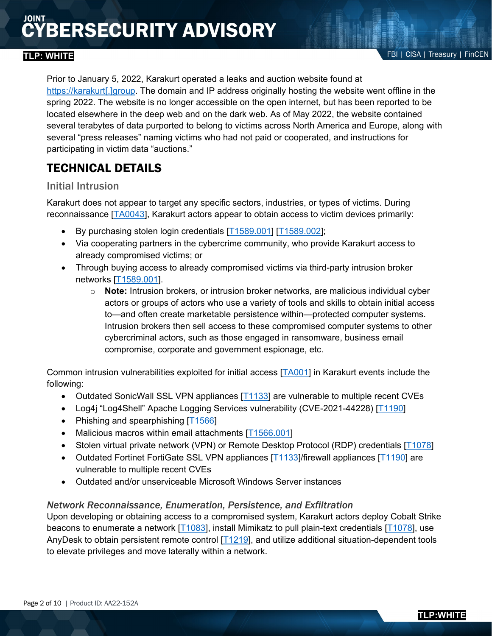Prior to January 5, 2022, Karakurt operated a leaks and auction website found at [https://karakurt\[.\]group.](https://karakurt%5B.%5Dgroup/) The domain and IP address originally hosting the website went offline in the spring 2022. The website is no longer accessible on the open internet, but has been reported to be located elsewhere in the deep web and on the dark web. As of May 2022, the website contained several terabytes of data purported to belong to victims across North America and Europe, along with several "press releases" naming victims who had not paid or cooperated, and instructions for participating in victim data "auctions."

### TECHNICAL DETAILS

### Initial Intrusion

Karakurt does not appear to target any specific sectors, industries, or types of victims. During reconnaissance [\[TA0043\]](https://attack.mitre.org/versions/v11/tactics/TA0043/), Karakurt actors appear to obtain access to victim devices primarily:

- By purchasing stolen login credentials [\[T1589.001\]](https://attack.mitre.org/versions/v11/techniques/T1589/001/) [\[T1589.002\]](https://attack.mitre.org/versions/v11/techniques/T1589/002/);
- Via cooperating partners in the cybercrime community, who provide Karakurt access to already compromised victims; or
- Through buying access to already compromised victims via third-party intrusion broker networks [\[T1589.001\]](https://attack.mitre.org/versions/v11/techniques/T1589/001/).
	- o **Note:** Intrusion brokers, or intrusion broker networks, are malicious individual cyber actors or groups of actors who use a variety of tools and skills to obtain initial access to—and often create marketable persistence within—protected computer systems. Intrusion brokers then sell access to these compromised computer systems to other cybercriminal actors, such as those engaged in ransomware, business email compromise, corporate and government espionage, etc.

Common intrusion vulnerabilities exploited for initial access [\[TA001\]](https://attack.mitre.org/versions/v11/tactics/TA0001/) in Karakurt events include the following:

- Outdated SonicWall SSL VPN appliances [\[T1133\]](https://attack.mitre.org/versions/v11/techniques/T1133/) are vulnerable to multiple recent CVEs
- Log4j "Log4Shell" Apache Logging Services vulnerability (CVE-2021-44228) [\[T1190\]](https://attack.mitre.org/versions/v11/techniques/T1190/)
- Phishing and spearphishing [\[T1566\]](https://attack.mitre.org/versions/v11/techniques/T1566/)
- Malicious macros within email attachments [\[T1566.001\]](https://attack.mitre.org/versions/v11/techniques/T1566/001/)
- Stolen virtual private network (VPN) or Remote Desktop Protocol (RDP) credentials [\[T1078\]](https://attack.mitre.org/versions/v11/techniques/T1078/)
- Outdated Fortinet FortiGate SSL VPN appliances [\[T1133\]](https://attack.mitre.org/versions/v11/techniques/T1133/)/firewall appliances [\[T1190\]](https://attack.mitre.org/versions/v11/techniques/T1190/) are vulnerable to multiple recent CVEs
- Outdated and/or unserviceable Microsoft Windows Server instances

### *Network Reconnaissance, Enumeration, Persistence, and Exfiltration*

Upon developing or obtaining access to a compromised system, Karakurt actors deploy Cobalt Strike beacons to enumerate a network [\[T1083\]](https://attack.mitre.org/versions/v11/techniques/T1083/), install Mimikatz to pull plain-text credentials [\[T1078\]](https://attack.mitre.org/versions/v11/techniques/T1078/), use AnyDesk to obtain persistent remote control [\[T1219\]](https://attack.mitre.org/versions/v11/techniques/T1219/), and utilize additional situation-dependent tools to elevate privileges and move laterally within a network.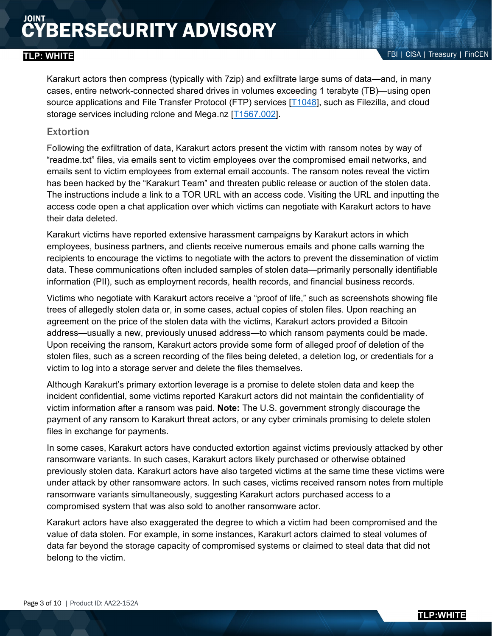Karakurt actors then compress (typically with 7zip) and exfiltrate large sums of data—and, in many cases, entire network-connected shared drives in volumes exceeding 1 terabyte (TB)—using open source applications and File Transfer Protocol (FTP) services [\[T1048\]](https://attack.mitre.org/versions/v11/techniques/T1048/), such as Filezilla, and cloud storage services including rclone and Mega.nz [\[T1567.002\]](https://attack.mitre.org/versions/v11/techniques/T1567/002/).

### **Extortion**

Following the exfiltration of data, Karakurt actors present the victim with ransom notes by way of "readme.txt" files, via emails sent to victim employees over the compromised email networks, and emails sent to victim employees from external email accounts. The ransom notes reveal the victim has been hacked by the "Karakurt Team" and threaten public release or auction of the stolen data. The instructions include a link to a TOR URL with an access code. Visiting the URL and inputting the access code open a chat application over which victims can negotiate with Karakurt actors to have their data deleted.

Karakurt victims have reported extensive harassment campaigns by Karakurt actors in which employees, business partners, and clients receive numerous emails and phone calls warning the recipients to encourage the victims to negotiate with the actors to prevent the dissemination of victim data. These communications often included samples of stolen data—primarily personally identifiable information (PII), such as employment records, health records, and financial business records.

Victims who negotiate with Karakurt actors receive a "proof of life," such as screenshots showing file trees of allegedly stolen data or, in some cases, actual copies of stolen files. Upon reaching an agreement on the price of the stolen data with the victims, Karakurt actors provided a Bitcoin address—usually a new, previously unused address—to which ransom payments could be made. Upon receiving the ransom, Karakurt actors provide some form of alleged proof of deletion of the stolen files, such as a screen recording of the files being deleted, a deletion log, or credentials for a victim to log into a storage server and delete the files themselves.

Although Karakurt's primary extortion leverage is a promise to delete stolen data and keep the incident confidential, some victims reported Karakurt actors did not maintain the confidentiality of victim information after a ransom was paid. **Note:** The U.S. government strongly discourage the payment of any ransom to Karakurt threat actors, or any cyber criminals promising to delete stolen files in exchange for payments.

In some cases, Karakurt actors have conducted extortion against victims previously attacked by other ransomware variants. In such cases, Karakurt actors likely purchased or otherwise obtained previously stolen data. Karakurt actors have also targeted victims at the same time these victims were under attack by other ransomware actors. In such cases, victims received ransom notes from multiple ransomware variants simultaneously, suggesting Karakurt actors purchased access to a compromised system that was also sold to another ransomware actor.

Karakurt actors have also exaggerated the degree to which a victim had been compromised and the value of data stolen. For example, in some instances, Karakurt actors claimed to steal volumes of data far beyond the storage capacity of compromised systems or claimed to steal data that did not belong to the victim.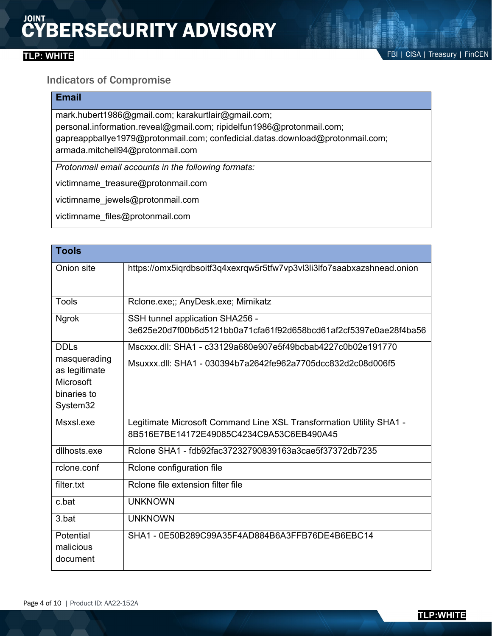### Indicators of Compromise

### **Email**

mark.hubert1986@gmail.com; karakurtlair@gmail.com; personal.information.reveal@gmail.com; ripidelfun1986@protonmail.com; gapreappballye1979@protonmail.com; confedicial.datas.download@protonmail.com; armada.mitchell94@protonmail.com

*Protonmail email accounts in the following formats:*

victimname\_treasure@protonmail.com

victimname\_jewels@protonmail.com

victimname\_files@protonmail.com

| <b>Tools</b>                                                          |                                                                                                                 |
|-----------------------------------------------------------------------|-----------------------------------------------------------------------------------------------------------------|
| Onion site                                                            | https://omx5iqrdbsoitf3q4xexrqw5r5tfw7vp3vl3li3lfo7saabxazshnead.onion                                          |
| Tools                                                                 | Rclone.exe;; AnyDesk.exe; Mimikatz                                                                              |
| <b>Ngrok</b>                                                          | SSH tunnel application SHA256 -<br>3e625e20d7f00b6d5121bb0a71cfa61f92d658bcd61af2cf5397e0ae28f4ba56             |
| <b>DDLs</b>                                                           | Mscxxx.dll: SHA1 - c33129a680e907e5f49bcbab4227c0b02e191770                                                     |
| masquerading<br>as legitimate<br>Microsoft<br>binaries to<br>System32 | Msuxxx.dll: SHA1 - 030394b7a2642fe962a7705dcc832d2c08d006f5                                                     |
| Msxsl.exe                                                             | Legitimate Microsoft Command Line XSL Transformation Utility SHA1 -<br>8B516E7BE14172E49085C4234C9A53C6EB490A45 |
| dllhosts.exe                                                          | Rclone SHA1 - fdb92fac37232790839163a3cae5f37372db7235                                                          |
| rclone.conf                                                           | Rclone configuration file                                                                                       |
| filter.txt                                                            | Rclone file extension filter file                                                                               |
| c.bat                                                                 | <b>UNKNOWN</b>                                                                                                  |
| 3.bat                                                                 | <b>UNKNOWN</b>                                                                                                  |
| Potential<br>malicious<br>document                                    | SHA1 - 0E50B289C99A35F4AD884B6A3FFB76DE4B6EBC14                                                                 |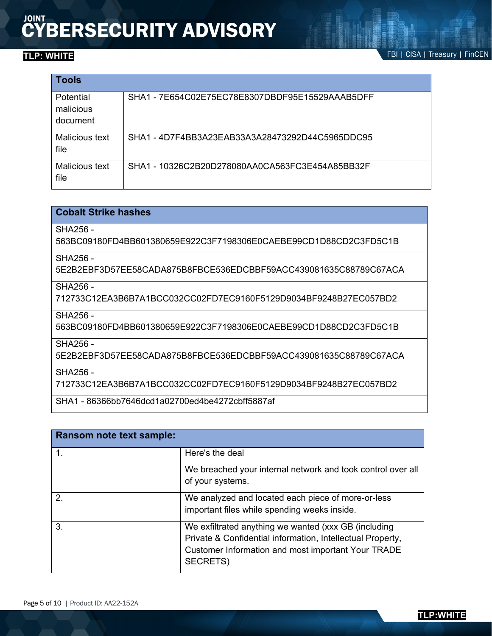**TLP: WHITE FBI | CISA | Treasury | FinCEN** 

| <b>Tools</b>                       |                                                 |
|------------------------------------|-------------------------------------------------|
| Potential<br>malicious<br>document | SHA1 - 7E654C02E75EC78E8307DBDF95E15529AAAB5DFF |
| Malicious text<br>file             | SHA1 - 4D7F4BB3A23EAB33A3A28473292D44C5965DDC95 |
| Malicious text<br>file             | SHA1 - 10326C2B20D278080AA0CA563FC3E454A85BB32F |

### **Cobalt Strike hashes**

SHA256 -

563BC09180FD4BB601380659E922C3F7198306E0CAEBE99CD1D88CD2C3FD5C1B

SHA256 -

5E2B2EBF3D57EE58CADA875B8FBCE536EDCBBF59ACC439081635C88789C67ACA

SHA256 -

712733C12EA3B6B7A1BCC032CC02FD7EC9160F5129D9034BF9248B27EC057BD2

SHA256 -

563BC09180FD4BB601380659E922C3F7198306E0CAEBE99CD1D88CD2C3FD5C1B

SHA256 -

5E2B2EBF3D57EE58CADA875B8FBCE536EDCBBF59ACC439081635C88789C67ACA

SHA256 -

712733C12EA3B6B7A1BCC032CC02FD7EC9160F5129D9034BF9248B27EC057BD2

SHA1 - 86366bb7646dcd1a02700ed4be4272cbff5887af

| Ransom note text sample: |                                                                                                                                                                                      |
|--------------------------|--------------------------------------------------------------------------------------------------------------------------------------------------------------------------------------|
| 1.                       | Here's the deal                                                                                                                                                                      |
|                          | We breached your internal network and took control over all<br>of your systems.                                                                                                      |
| 2.                       | We analyzed and located each piece of more-or-less<br>important files while spending weeks inside.                                                                                   |
| 3.                       | We exfiltrated anything we wanted (xxx GB (including<br>Private & Confidential information, Intellectual Property,<br>Customer Information and most important Your TRADE<br>SECRETS) |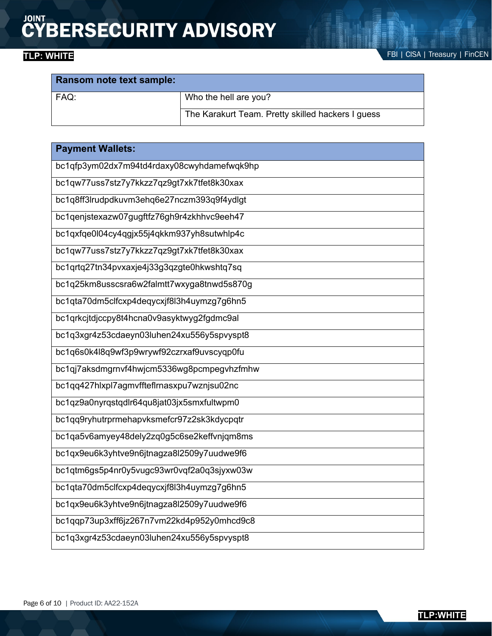| Ransom note text sample: |                                                   |  |
|--------------------------|---------------------------------------------------|--|
| FAQ:                     | Who the hell are you?                             |  |
|                          | The Karakurt Team. Pretty skilled hackers I guess |  |

| <b>Payment Wallets:</b>                    |
|--------------------------------------------|
| bc1qfp3ym02dx7m94td4rdaxy08cwyhdamefwqk9hp |
| bc1qw77uss7stz7y7kkzz7qz9gt7xk7tfet8k30xax |
| bc1q8ff3lrudpdkuvm3ehq6e27nczm393q9f4ydlgt |
| bc1qenjstexazw07gugftfz76gh9r4zkhhvc9eeh47 |
| bc1qxfqe0l04cy4qgjx55j4qkkm937yh8sutwhlp4c |
| bc1qw77uss7stz7y7kkzz7qz9gt7xk7tfet8k30xax |
| bc1qrtq27tn34pvxaxje4j33g3qzgte0hkwshtq7sq |
| bc1q25km8usscsra6w2falmtt7wxyga8tnwd5s870g |
| bc1qta70dm5clfcxp4deqycxjf8l3h4uymzg7g6hn5 |
| bc1qrkcjtdjccpy8t4hcna0v9asyktwyg2fgdmc9al |
| bc1q3xgr4z53cdaeyn03luhen24xu556y5spvyspt8 |
| bc1q6s0k4l8q9wf3p9wrywf92czrxaf9uvscyqp0fu |
| bc1qj7aksdmgrnvf4hwjcm5336wg8pcmpegvhzfmhw |
| bc1qq427hlxpl7agmvffteflrnasxpu7wznjsu02nc |
| bc1qz9a0nyrqstqdlr64qu8jat03jx5smxfultwpm0 |
| bc1qq9ryhutrprmehapvksmefcr97z2sk3kdycpqtr |
| bc1qa5v6amyey48dely2zq0g5c6se2keffvnjqm8ms |
| bc1qx9eu6k3yhtve9n6jtnagza8l2509y7uudwe9f6 |
| bc1qtm6gs5p4nr0y5vugc93wr0vqf2a0q3sjyxw03w |
| bc1qta70dm5clfcxp4deqycxjf8l3h4uymzg7g6hn5 |
| bc1qx9eu6k3yhtve9n6jtnagza8l2509y7uudwe9f6 |
| bc1qqp73up3xff6jz267n7vm22kd4p952y0mhcd9c8 |
| bc1q3xgr4z53cdaeyn03luhen24xu556y5spvyspt8 |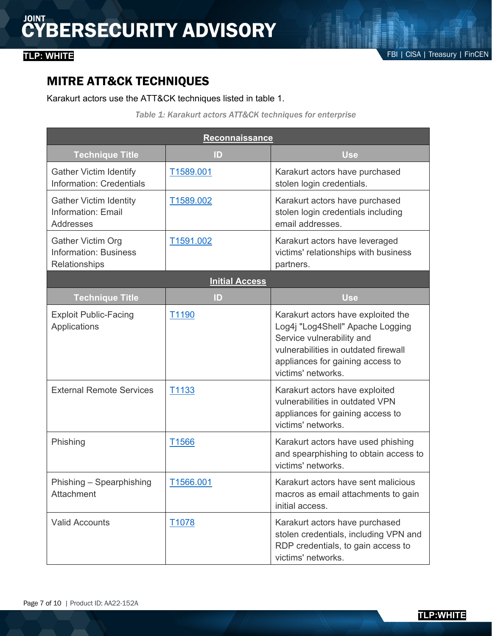### MITRE ATT&CK TECHNIQUES

### Karakurt actors use the ATT&CK techniques listed in table 1.

*Table 1: Karakurt actors ATT&CK techniques for enterprise*

| <b>Reconnaissance</b>                                                     |                   |                                                                                                                                                                                                       |  |  |
|---------------------------------------------------------------------------|-------------------|-------------------------------------------------------------------------------------------------------------------------------------------------------------------------------------------------------|--|--|
| <b>Technique Title</b>                                                    | ID                | <b>Use</b>                                                                                                                                                                                            |  |  |
| <b>Gather Victim Identify</b><br><b>Information: Credentials</b>          | T1589.001         | Karakurt actors have purchased<br>stolen login credentials.                                                                                                                                           |  |  |
| <b>Gather Victim Identity</b><br>Information: Email<br>Addresses          | T1589.002         | Karakurt actors have purchased<br>stolen login credentials including<br>email addresses.                                                                                                              |  |  |
| <b>Gather Victim Org</b><br><b>Information: Business</b><br>Relationships | T1591.002         | Karakurt actors have leveraged<br>victims' relationships with business<br>partners.                                                                                                                   |  |  |
| <b>Initial Access</b>                                                     |                   |                                                                                                                                                                                                       |  |  |
| <b>Technique Title</b>                                                    | ID                | Use                                                                                                                                                                                                   |  |  |
| <b>Exploit Public-Facing</b><br>Applications                              | T <sub>1190</sub> | Karakurt actors have exploited the<br>Log4j "Log4Shell" Apache Logging<br>Service vulnerability and<br>vulnerabilities in outdated firewall<br>appliances for gaining access to<br>victims' networks. |  |  |
| <b>External Remote Services</b>                                           | T1133             | Karakurt actors have exploited<br>vulnerabilities in outdated VPN<br>appliances for gaining access to<br>victims' networks.                                                                           |  |  |
| Phishing                                                                  | T <sub>1566</sub> | Karakurt actors have used phishing<br>and spearphishing to obtain access to<br>victims' networks.                                                                                                     |  |  |
| Phishing - Spearphishing<br>Attachment                                    | T1566.001         | Karakurt actors have sent malicious<br>macros as email attachments to gain<br>initial access.                                                                                                         |  |  |
| <b>Valid Accounts</b>                                                     | T <sub>1078</sub> | Karakurt actors have purchased<br>stolen credentials, including VPN and<br>RDP credentials, to gain access to<br>victims' networks.                                                                   |  |  |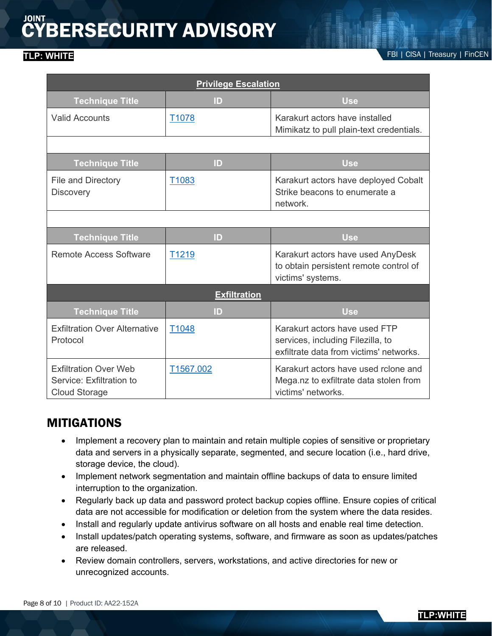### **TLP: WHITE FBI | CISA | Treasury | FinCEN**

| <b>Privilege Escalation</b>                                                      |                   |                                                                                                               |  |  |  |
|----------------------------------------------------------------------------------|-------------------|---------------------------------------------------------------------------------------------------------------|--|--|--|
| <b>Technique Title</b>                                                           | ID                | <b>Use</b>                                                                                                    |  |  |  |
| <b>Valid Accounts</b>                                                            | T <sub>1078</sub> | Karakurt actors have installed<br>Mimikatz to pull plain-text credentials.                                    |  |  |  |
|                                                                                  |                   |                                                                                                               |  |  |  |
| <b>Technique Title</b>                                                           | $\mathsf{ID}$     | <b>Use</b>                                                                                                    |  |  |  |
| <b>File and Directory</b><br><b>Discovery</b>                                    | T <sub>1083</sub> | Karakurt actors have deployed Cobalt<br>Strike beacons to enumerate a<br>network.                             |  |  |  |
|                                                                                  |                   |                                                                                                               |  |  |  |
| <b>Technique Title</b>                                                           | ID                | <b>Use</b>                                                                                                    |  |  |  |
| <b>Remote Access Software</b>                                                    | T1219             | Karakurt actors have used AnyDesk<br>to obtain persistent remote control of<br>victims' systems.              |  |  |  |
| <b>Exfiltration</b>                                                              |                   |                                                                                                               |  |  |  |
| <b>Technique Title</b>                                                           | ID                | <b>Use</b>                                                                                                    |  |  |  |
| <b>Exfiltration Over Alternative</b><br>Protocol                                 | T <sub>1048</sub> | Karakurt actors have used FTP<br>services, including Filezilla, to<br>exfiltrate data from victims' networks. |  |  |  |
| <b>Exfiltration Over Web</b><br>Service: Exfiltration to<br><b>Cloud Storage</b> | T1567.002         | Karakurt actors have used rclone and<br>Mega.nz to exfiltrate data stolen from<br>victims' networks.          |  |  |  |

### MITIGATIONS

- Implement a recovery plan to maintain and retain multiple copies of sensitive or proprietary data and servers in a physically separate, segmented, and secure location (i.e., hard drive, storage device, the cloud).
- Implement network segmentation and maintain offline backups of data to ensure limited interruption to the organization.
- Regularly back up data and password protect backup copies offline. Ensure copies of critical data are not accessible for modification or deletion from the system where the data resides.
- Install and regularly update antivirus software on all hosts and enable real time detection.
- Install updates/patch operating systems, software, and firmware as soon as updates/patches are released.
- Review domain controllers, servers, workstations, and active directories for new or unrecognized accounts.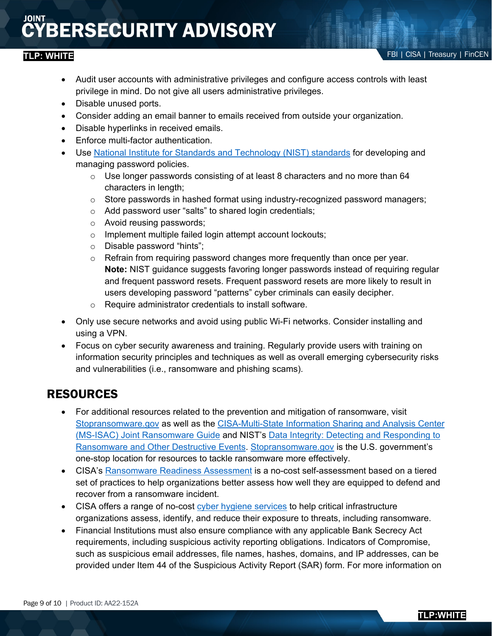- Audit user accounts with administrative privileges and configure access controls with least privilege in mind. Do not give all users administrative privileges.
- Disable unused ports.
- Consider adding an email banner to emails received from outside your organization.
- Disable hyperlinks in received emails.
- Enforce multi-factor authentication.
- Use [National Institute for Standards and Technology \(NIST\) standards](https://pages.nist.gov/800-63-3/) for developing and managing password policies.
	- $\circ$  Use longer passwords consisting of at least 8 characters and no more than 64 characters in length;
	- $\circ$  Store passwords in hashed format using industry-recognized password managers;
	- o Add password user "salts" to shared login credentials;
	- o Avoid reusing passwords;
	- o Implement multiple failed login attempt account lockouts;
	- o Disable password "hints";
	- $\circ$  Refrain from requiring password changes more frequently than once per year. **Note:** NIST guidance suggests favoring longer passwords instead of requiring regular and frequent password resets. Frequent password resets are more likely to result in users developing password "patterns" cyber criminals can easily decipher.
	- o Require administrator credentials to install software.
- Only use secure networks and avoid using public Wi-Fi networks. Consider installing and using a VPN.
- Focus on cyber security awareness and training. Regularly provide users with training on information security principles and techniques as well as overall emerging cybersecurity risks and vulnerabilities (i.e., ransomware and phishing scams).

### RESOURCES

- For additional resources related to the prevention and mitigation of ransomware, visit [Stopransomware.gov](https://www.cisa.gov/stopransomware) as well as the [CISA-Multi-State Information Sharing and Analysis Center](https://www.cisa.gov/sites/default/files/publications/CISA_MS-ISAC_Ransomware%20Guide_S508C.pdf)  [\(MS-ISAC\) Joint Ransomware Guide](https://www.cisa.gov/sites/default/files/publications/CISA_MS-ISAC_Ransomware%20Guide_S508C.pdf) and NIST's [Data Integrity: Detecting and Responding to](https://www.nccoe.nist.gov/projects/building-blocks/data-integrity/detect-respond)  [Ransomware and Other Destructive Events.](https://www.nccoe.nist.gov/projects/building-blocks/data-integrity/detect-respond) [Stopransomware.gov](https://www.cisa.gov/stopransomware) is the U.S. government's one-stop location for resources to tackle ransomware more effectively.
- CISA's [Ransomware Readiness Assessment](https://github.com/cisagov/cset/releases/tag/v10.3.0.0) is a no-cost self-assessment based on a tiered set of practices to help organizations better assess how well they are equipped to defend and recover from a ransomware incident.
- CISA offers a range of no-cost [cyber hygiene services](https://www.cisa.gov/cyber-hygiene-services) to help critical infrastructure organizations assess, identify, and reduce their exposure to threats, including ransomware.
- Financial Institutions must also ensure compliance with any applicable Bank Secrecy Act requirements, including suspicious activity reporting obligations. Indicators of Compromise, such as suspicious email addresses, file names, hashes, domains, and IP addresses, can be provided under Item 44 of the Suspicious Activity Report (SAR) form. For more information on